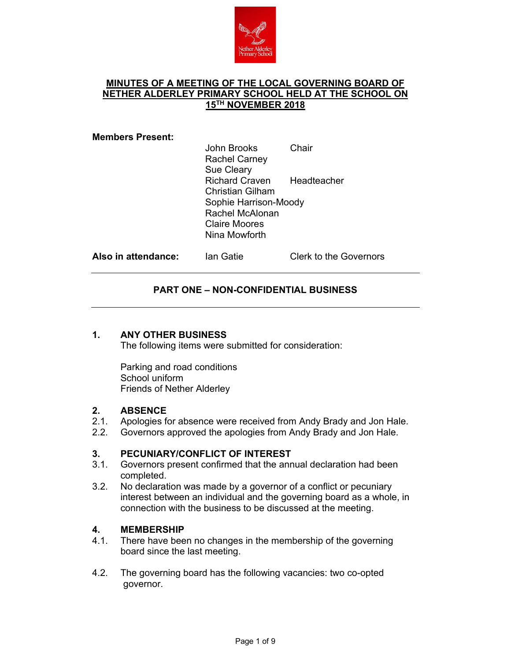

# **MINUTES OF A MEETING OF THE LOCAL GOVERNING BOARD OF NETHER ALDERLEY PRIMARY SCHOOL HELD AT THE SCHOOL ON 15TH NOVEMBER 2018**

#### **Members Present:**

| John Brooks<br><b>Rachel Carney</b><br><b>Sue Cleary</b> | Chair |
|----------------------------------------------------------|-------|
| Richard Craven Headteacher<br><b>Christian Gilham</b>    |       |
| Sophie Harrison-Moody                                    |       |
| <b>Rachel McAlonan</b>                                   |       |
| <b>Claire Moores</b>                                     |       |
| Nina Mowforth                                            |       |
|                                                          |       |

Also in attendance: Ian Gatie Clerk to the Governors

## **PART ONE – NON-CONFIDENTIAL BUSINESS**

#### **1. ANY OTHER BUSINESS**

The following items were submitted for consideration:

Parking and road conditions School uniform Friends of Nether Alderley

#### **2. ABSENCE**

- 2.1. Apologies for absence were received from Andy Brady and Jon Hale.
- 2.2. Governors approved the apologies from Andy Brady and Jon Hale.

### **3. PECUNIARY/CONFLICT OF INTEREST**

- 3.1. Governors present confirmed that the annual declaration had been completed.
- 3.2. No declaration was made by a governor of a conflict or pecuniary interest between an individual and the governing board as a whole, in connection with the business to be discussed at the meeting.

### **4. MEMBERSHIP**

- 4.1. There have been no changes in the membership of the governing board since the last meeting.
- 4.2. The governing board has the following vacancies: two co-opted governor.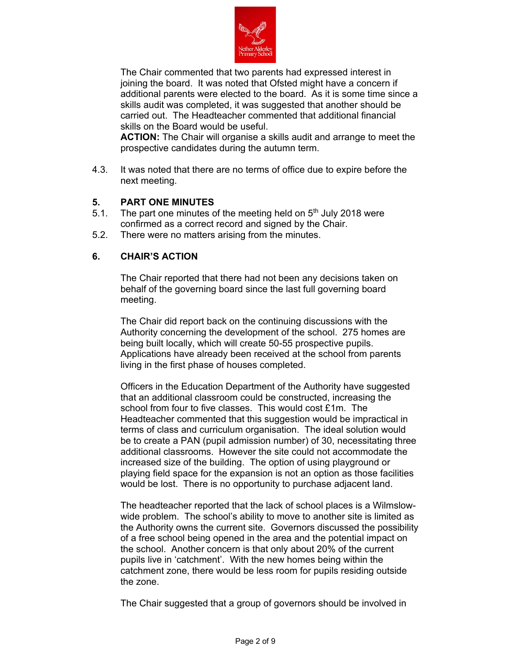

The Chair commented that two parents had expressed interest in joining the board. It was noted that Ofsted might have a concern if additional parents were elected to the board. As it is some time since a skills audit was completed, it was suggested that another should be carried out. The Headteacher commented that additional financial skills on the Board would be useful.

**ACTION:** The Chair will organise a skills audit and arrange to meet the prospective candidates during the autumn term.

4.3. It was noted that there are no terms of office due to expire before the next meeting.

## **5. PART ONE MINUTES**

- 5.1. The part one minutes of the meeting held on  $5<sup>th</sup>$  July 2018 were confirmed as a correct record and signed by the Chair.
- 5.2. There were no matters arising from the minutes.

## **6. CHAIR'S ACTION**

The Chair reported that there had not been any decisions taken on behalf of the governing board since the last full governing board meeting.

The Chair did report back on the continuing discussions with the Authority concerning the development of the school. 275 homes are being built locally, which will create 50-55 prospective pupils. Applications have already been received at the school from parents living in the first phase of houses completed.

Officers in the Education Department of the Authority have suggested that an additional classroom could be constructed, increasing the school from four to five classes. This would cost £1m. The Headteacher commented that this suggestion would be impractical in terms of class and curriculum organisation. The ideal solution would be to create a PAN (pupil admission number) of 30, necessitating three additional classrooms. However the site could not accommodate the increased size of the building. The option of using playground or playing field space for the expansion is not an option as those facilities would be lost. There is no opportunity to purchase adjacent land.

The headteacher reported that the lack of school places is a Wilmslowwide problem. The school's ability to move to another site is limited as the Authority owns the current site. Governors discussed the possibility of a free school being opened in the area and the potential impact on the school. Another concern is that only about 20% of the current pupils live in 'catchment'. With the new homes being within the catchment zone, there would be less room for pupils residing outside the zone.

The Chair suggested that a group of governors should be involved in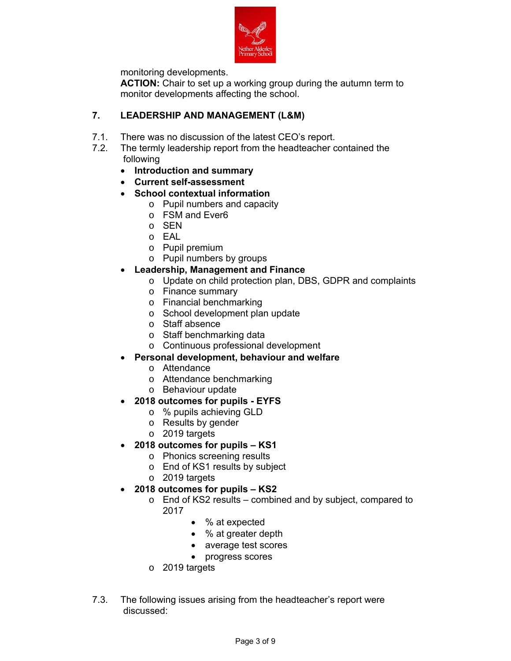

monitoring developments.

**ACTION:** Chair to set up a working group during the autumn term to monitor developments affecting the school.

# **7. LEADERSHIP AND MANAGEMENT (L&M)**

- 7.1. There was no discussion of the latest CEO's report.
- 7.2. The termly leadership report from the headteacher contained the following
	- **Introduction and summary**
	- **Current self-assessment**
	- **School contextual information** 
		- o Pupil numbers and capacity
		- o FSM and Ever6
		- o SEN
		- o EAL
		- o Pupil premium
		- o Pupil numbers by groups
	- **Leadership, Management and Finance** 
		- o Update on child protection plan, DBS, GDPR and complaints
		- o Finance summary
		- o Financial benchmarking
		- o School development plan update
		- o Staff absence
		- o Staff benchmarking data
		- o Continuous professional development
		- **Personal development, behaviour and welfare** 
			- o Attendance
			- o Attendance benchmarking
			- o Behaviour update
	- **2018 outcomes for pupils EYFS** 
		- o % pupils achieving GLD
		- o Results by gender
		- o 2019 targets
	- **2018 outcomes for pupils KS1** 
		- o Phonics screening results
		- o End of KS1 results by subject
		- o 2019 targets
	- **2018 outcomes for pupils KS2** 
		- o End of KS2 results combined and by subject, compared to 2017
			- % at expected
			- % at greater depth
			- average test scores
			- progress scores
		- o 2019 targets
- 7.3. The following issues arising from the headteacher's report were discussed: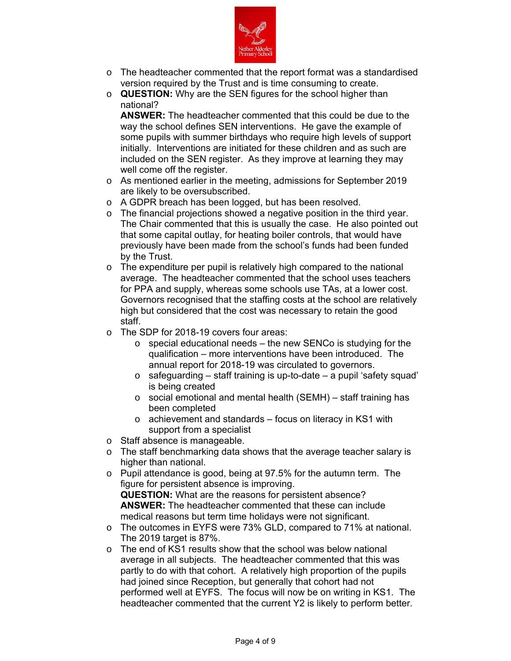

- o The headteacher commented that the report format was a standardised version required by the Trust and is time consuming to create.
- o **QUESTION:** Why are the SEN figures for the school higher than national?

**ANSWER:** The headteacher commented that this could be due to the way the school defines SEN interventions. He gave the example of some pupils with summer birthdays who require high levels of support initially. Interventions are initiated for these children and as such are included on the SEN register. As they improve at learning they may well come off the register.

- o As mentioned earlier in the meeting, admissions for September 2019 are likely to be oversubscribed.
- o A GDPR breach has been logged, but has been resolved.
- o The financial projections showed a negative position in the third year. The Chair commented that this is usually the case. He also pointed out that some capital outlay, for heating boiler controls, that would have previously have been made from the school's funds had been funded by the Trust.
- o The expenditure per pupil is relatively high compared to the national average. The headteacher commented that the school uses teachers for PPA and supply, whereas some schools use TAs, at a lower cost. Governors recognised that the staffing costs at the school are relatively high but considered that the cost was necessary to retain the good staff.
- o The SDP for 2018-19 covers four areas:
	- $\circ$  special educational needs the new SENCo is studying for the qualification – more interventions have been introduced. The annual report for 2018-19 was circulated to governors.
	- $\circ$  safeguarding staff training is up-to-date a pupil 'safety squad' is being created
	- o social emotional and mental health (SEMH) staff training has been completed
	- o achievement and standards focus on literacy in KS1 with support from a specialist
- o Staff absence is manageable.
- o The staff benchmarking data shows that the average teacher salary is higher than national.
- o Pupil attendance is good, being at 97.5% for the autumn term. The figure for persistent absence is improving. **QUESTION:** What are the reasons for persistent absence?

**ANSWER:** The headteacher commented that these can include medical reasons but term time holidays were not significant.

- o The outcomes in EYFS were 73% GLD, compared to 71% at national. The 2019 target is 87%.
- $\circ$  The end of KS1 results show that the school was below national average in all subjects. The headteacher commented that this was partly to do with that cohort. A relatively high proportion of the pupils had joined since Reception, but generally that cohort had not performed well at EYFS. The focus will now be on writing in KS1. The headteacher commented that the current Y2 is likely to perform better.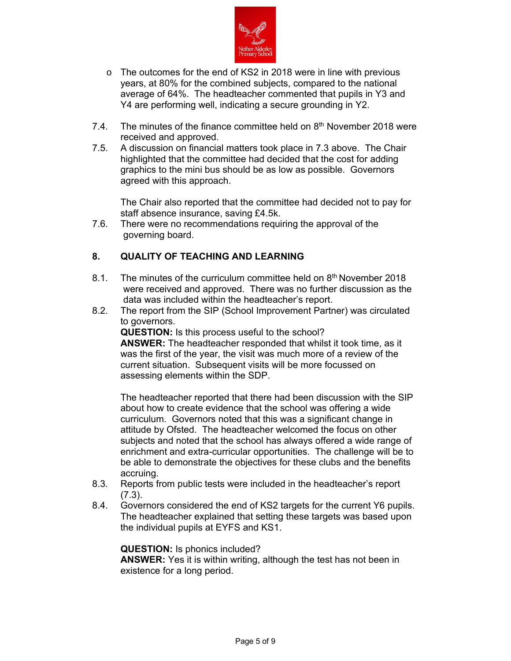

- o The outcomes for the end of KS2 in 2018 were in line with previous years, at 80% for the combined subjects, compared to the national average of 64%. The headteacher commented that pupils in Y3 and Y4 are performing well, indicating a secure grounding in Y2.
- 7.4. The minutes of the finance committee held on  $8<sup>th</sup>$  November 2018 were received and approved.
- 7.5. A discussion on financial matters took place in 7.3 above. The Chair highlighted that the committee had decided that the cost for adding graphics to the mini bus should be as low as possible. Governors agreed with this approach.

The Chair also reported that the committee had decided not to pay for staff absence insurance, saving £4.5k.

7.6. There were no recommendations requiring the approval of the governing board.

# **8. QUALITY OF TEACHING AND LEARNING**

- 8.1. The minutes of the curriculum committee held on 8<sup>th</sup> November 2018 were received and approved. There was no further discussion as the data was included within the headteacher's report.
- 8.2. The report from the SIP (School Improvement Partner) was circulated to governors.

**QUESTION:** Is this process useful to the school? **ANSWER:** The headteacher responded that whilst it took time, as it was the first of the year, the visit was much more of a review of the current situation. Subsequent visits will be more focussed on assessing elements within the SDP.

The headteacher reported that there had been discussion with the SIP about how to create evidence that the school was offering a wide curriculum. Governors noted that this was a significant change in attitude by Ofsted. The headteacher welcomed the focus on other subjects and noted that the school has always offered a wide range of enrichment and extra-curricular opportunities. The challenge will be to be able to demonstrate the objectives for these clubs and the benefits accruing.

- 8.3. Reports from public tests were included in the headteacher's report (7.3).
- 8.4. Governors considered the end of KS2 targets for the current Y6 pupils. The headteacher explained that setting these targets was based upon the individual pupils at EYFS and KS1.

### **QUESTION:** Is phonics included?

**ANSWER:** Yes it is within writing, although the test has not been in existence for a long period.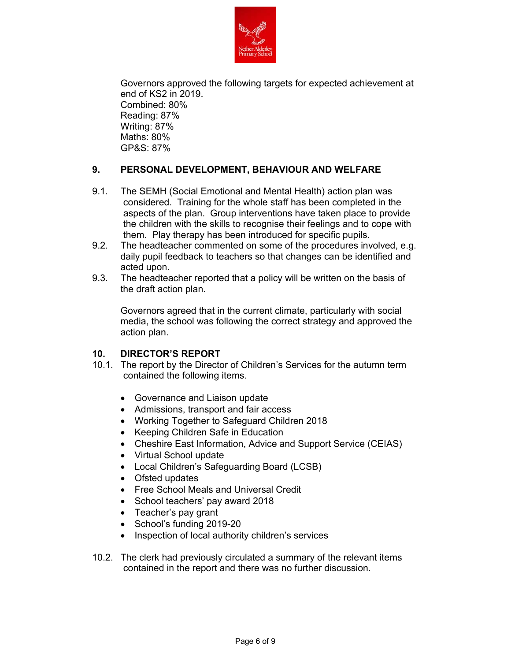

Governors approved the following targets for expected achievement at end of KS2 in 2019. Combined: 80% Reading: 87% Writing: 87% Maths: 80% GP&S: 87%

# **9. PERSONAL DEVELOPMENT, BEHAVIOUR AND WELFARE**

- 9.1. The SEMH (Social Emotional and Mental Health) action plan was considered. Training for the whole staff has been completed in the aspects of the plan. Group interventions have taken place to provide the children with the skills to recognise their feelings and to cope with them. Play therapy has been introduced for specific pupils.
- 9.2. The headteacher commented on some of the procedures involved, e.g. daily pupil feedback to teachers so that changes can be identified and acted upon.
- 9.3. The headteacher reported that a policy will be written on the basis of the draft action plan.

Governors agreed that in the current climate, particularly with social media, the school was following the correct strategy and approved the action plan.

### **10. DIRECTOR'S REPORT**

- 10.1. The report by the Director of Children's Services for the autumn term contained the following items.
	- Governance and Liaison update
	- Admissions, transport and fair access
	- Working Together to Safeguard Children 2018
	- Keeping Children Safe in Education
	- Cheshire East Information, Advice and Support Service (CEIAS)
	- Virtual School update
	- Local Children's Safeguarding Board (LCSB)
	- Ofsted updates
	- Free School Meals and Universal Credit
	- School teachers' pay award 2018
	- Teacher's pay grant
	- School's funding 2019-20
	- Inspection of local authority children's services
- 10.2. The clerk had previously circulated a summary of the relevant items contained in the report and there was no further discussion.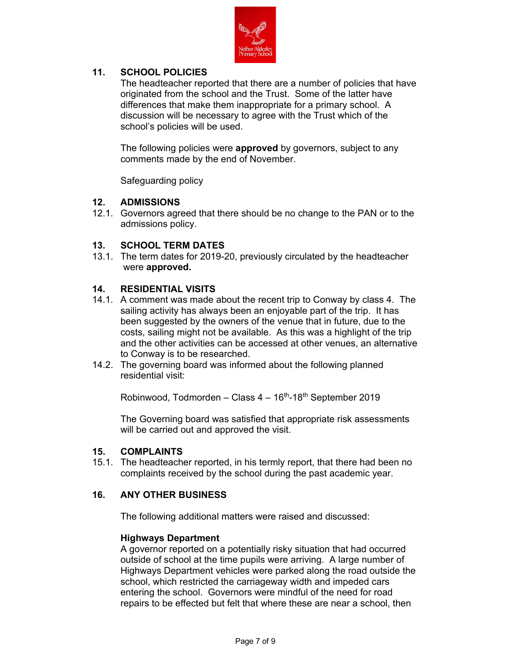

# **11. SCHOOL POLICIES**

The headteacher reported that there are a number of policies that have originated from the school and the Trust. Some of the latter have differences that make them inappropriate for a primary school. A discussion will be necessary to agree with the Trust which of the school's policies will be used.

The following policies were **approved** by governors, subject to any comments made by the end of November.

Safeguarding policy

## **12. ADMISSIONS**

12.1. Governors agreed that there should be no change to the PAN or to the admissions policy.

## **13. SCHOOL TERM DATES**

13.1. The term dates for 2019-20, previously circulated by the headteacher were **approved.** 

## **14. RESIDENTIAL VISITS**

- 14.1. A comment was made about the recent trip to Conway by class 4. The sailing activity has always been an enjoyable part of the trip. It has been suggested by the owners of the venue that in future, due to the costs, sailing might not be available. As this was a highlight of the trip and the other activities can be accessed at other venues, an alternative to Conway is to be researched.
- 14.2. The governing board was informed about the following planned residential visit:

Robinwood, Todmorden – Class  $4-16<sup>th</sup>$ -18<sup>th</sup> September 2019

The Governing board was satisfied that appropriate risk assessments will be carried out and approved the visit.

### **15. COMPLAINTS**

15.1. The headteacher reported, in his termly report, that there had been no complaints received by the school during the past academic year.

### **16. ANY OTHER BUSINESS**

The following additional matters were raised and discussed:

#### **Highways Department**

A governor reported on a potentially risky situation that had occurred outside of school at the time pupils were arriving. A large number of Highways Department vehicles were parked along the road outside the school, which restricted the carriageway width and impeded cars entering the school. Governors were mindful of the need for road repairs to be effected but felt that where these are near a school, then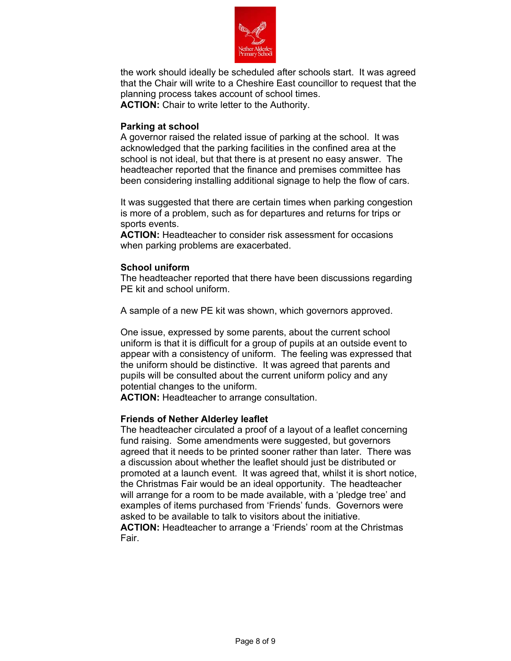

the work should ideally be scheduled after schools start. It was agreed that the Chair will write to a Cheshire East councillor to request that the planning process takes account of school times.

**ACTION:** Chair to write letter to the Authority.

### **Parking at school**

A governor raised the related issue of parking at the school. It was acknowledged that the parking facilities in the confined area at the school is not ideal, but that there is at present no easy answer. The headteacher reported that the finance and premises committee has been considering installing additional signage to help the flow of cars.

It was suggested that there are certain times when parking congestion is more of a problem, such as for departures and returns for trips or sports events.

**ACTION:** Headteacher to consider risk assessment for occasions when parking problems are exacerbated.

### **School uniform**

The headteacher reported that there have been discussions regarding PE kit and school uniform.

A sample of a new PE kit was shown, which governors approved.

One issue, expressed by some parents, about the current school uniform is that it is difficult for a group of pupils at an outside event to appear with a consistency of uniform. The feeling was expressed that the uniform should be distinctive. It was agreed that parents and pupils will be consulted about the current uniform policy and any potential changes to the uniform.

**ACTION:** Headteacher to arrange consultation.

### **Friends of Nether Alderley leaflet**

The headteacher circulated a proof of a layout of a leaflet concerning fund raising. Some amendments were suggested, but governors agreed that it needs to be printed sooner rather than later. There was a discussion about whether the leaflet should just be distributed or promoted at a launch event. It was agreed that, whilst it is short notice, the Christmas Fair would be an ideal opportunity. The headteacher will arrange for a room to be made available, with a 'pledge tree' and examples of items purchased from 'Friends' funds. Governors were asked to be available to talk to visitors about the initiative.

**ACTION:** Headteacher to arrange a 'Friends' room at the Christmas Fair.